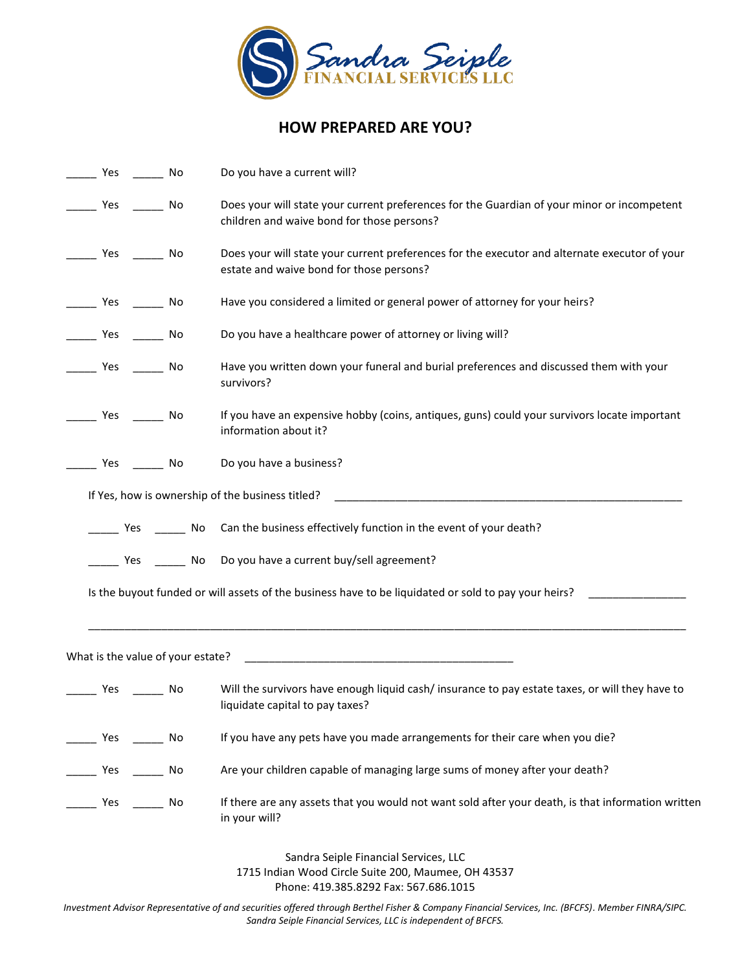

## **HOW PREPARED ARE YOU?**

| Yes No                            |    | Do you have a current will?                                                                                                               |  |  |  |  |  |
|-----------------------------------|----|-------------------------------------------------------------------------------------------------------------------------------------------|--|--|--|--|--|
| ______ Yes ________ No            |    | Does your will state your current preferences for the Guardian of your minor or incompetent<br>children and waive bond for those persons? |  |  |  |  |  |
| _____ Yes ______ No               |    | Does your will state your current preferences for the executor and alternate executor of your<br>estate and waive bond for those persons? |  |  |  |  |  |
| Yes No                            |    | Have you considered a limited or general power of attorney for your heirs?                                                                |  |  |  |  |  |
| ______ Yes ________ No            |    | Do you have a healthcare power of attorney or living will?                                                                                |  |  |  |  |  |
| _______ Yes ________ No           |    | Have you written down your funeral and burial preferences and discussed them with your<br>survivors?                                      |  |  |  |  |  |
| Yes No                            |    | If you have an expensive hobby (coins, antiques, guns) could your survivors locate important<br>information about it?                     |  |  |  |  |  |
| Yes No                            |    | Do you have a business?                                                                                                                   |  |  |  |  |  |
|                                   |    | If Yes, how is ownership of the business titled?                                                                                          |  |  |  |  |  |
| ______ Yes ________ No            |    | Can the business effectively function in the event of your death?                                                                         |  |  |  |  |  |
|                                   |    | ____ Yes _____ No Do you have a current buy/sell agreement?                                                                               |  |  |  |  |  |
|                                   |    | Is the buyout funded or will assets of the business have to be liquidated or sold to pay your heirs?                                      |  |  |  |  |  |
| What is the value of your estate? |    | <u> 1989 - Johann Harry Harry Harry Harry Harry Harry Harry Harry Harry Harry Harry Harry Harry Harry Harry Harry</u>                     |  |  |  |  |  |
| ______ Yes ________ No            |    | Will the survivors have enough liquid cash/insurance to pay estate taxes, or will they have to<br>liquidate capital to pay taxes?         |  |  |  |  |  |
| Yes<br>in a strong No             |    | If you have any pets have you made arrangements for their care when you die?                                                              |  |  |  |  |  |
| Yes ________                      | No | Are your children capable of managing large sums of money after your death?                                                               |  |  |  |  |  |
| Yes                               | No | If there are any assets that you would not want sold after your death, is that information written<br>in your will?                       |  |  |  |  |  |
|                                   |    | Sandra Seiple Financial Services, LLC                                                                                                     |  |  |  |  |  |
|                                   |    | $M_{\text{lead}}$ Circle Cuite 200 Meurose, OU 42527                                                                                      |  |  |  |  |  |

1715 Indian Wood Circle Suite 200, Maumee, OH 43537 Phone: 419.385.8292 Fax: 567.686.1015

*Investment Advisor Representative of and securities offered through Berthel Fisher & Company Financial Services, Inc. (BFCFS). Member FINRA/SIPC. Sandra Seiple Financial Services, LLC is independent of BFCFS.*